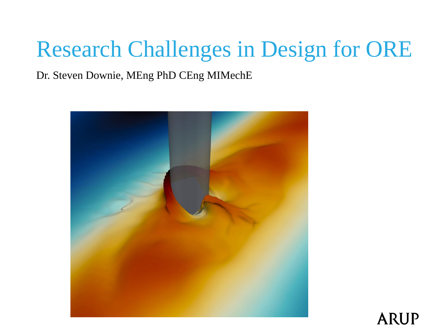# Research Challenges in Design for ORE

Dr. Steven Downie, MEng PhD CEng MIMechE



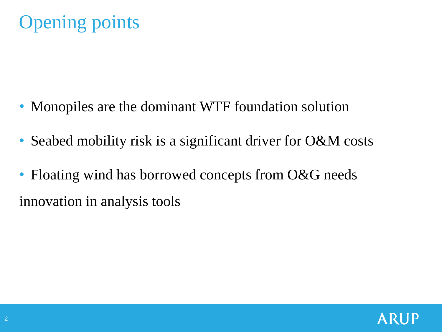- Monopiles are the dominant WTF foundation solution
- Seabed mobility risk is a significant driver for O&M costs
- Floating wind has borrowed concepts from O&G needs innovation in analysis tools

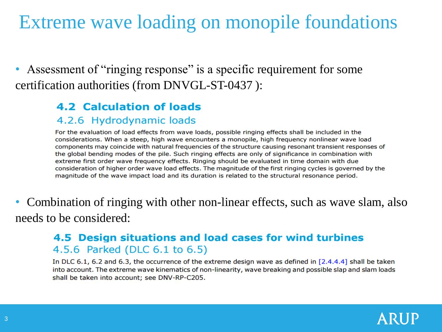#### Extreme wave loading on monopile foundations

Assessment of "ringing response" is a specific requirement for some certification authorities (from DNVGL-ST-0437 ):

#### **4.2 Calculation of loads**

#### 4.2.6 Hydrodynamic loads

For the evaluation of load effects from wave loads, possible ringing effects shall be included in the considerations. When a steep, high wave encounters a monopile, high frequency nonlinear wave load components may coincide with natural frequencies of the structure causing resonant transient responses of the global bending modes of the pile. Such ringing effects are only of significance in combination with extreme first order wave frequency effects. Ringing should be evaluated in time domain with due consideration of higher order wave load effects. The magnitude of the first ringing cycles is governed by the magnitude of the wave impact load and its duration is related to the structural resonance period.

• Combination of ringing with other non-linear effects, such as wave slam, also needs to be considered:

#### 4.5 Design situations and load cases for wind turbines 4.5.6 Parked (DLC 6.1 to 6.5)

In DLC 6.1, 6.2 and 6.3, the occurrence of the extreme design wave as defined in  $[2.4.4.4]$  shall be taken into account. The extreme wave kinematics of non-linearity, wave breaking and possible slap and slam loads shall be taken into account; see DNV-RP-C205.

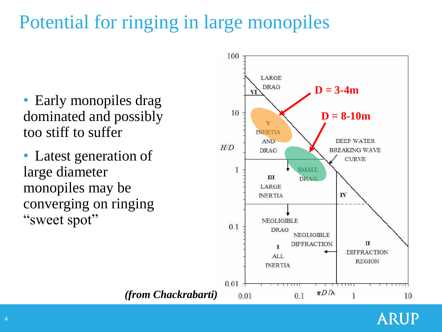## Potential for ringing in large monopiles

- Early monopiles drag dominated and possibly too stiff to suffer
- Latest generation of large diameter monopiles may be converging on ringing "sweet spot"



ARUP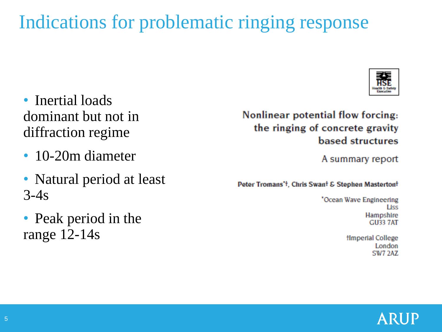### Indications for problematic ringing response

- Inertial loads dominant but not in diffraction regime
- 10-20m diameter
- Natural period at least 3-4s
- Peak period in the range 12-14s

Nonlinear potential flow forcing: the ringing of concrete gravity based structures

A summary report

Peter Tromans't, Chris Swant & Stephen Mastertont

'Ocean Wave Engineering Liss Hampshire **GU33 7AT** 

> fimperial College London SW7 2AZ

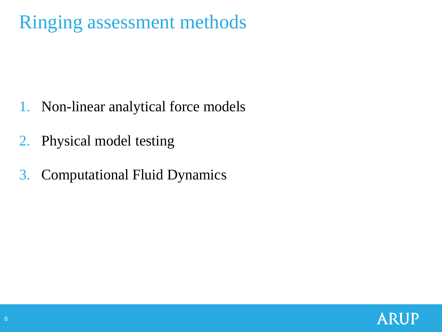## Ringing assessment methods

- 1. Non-linear analytical force models
- 2. Physical model testing
- 3. Computational Fluid Dynamics

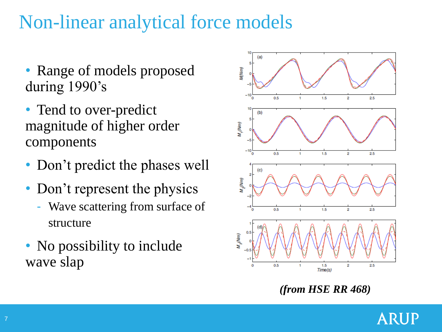## Non-linear analytical force models

- Range of models proposed during 1990's
- Tend to over-predict magnitude of higher order components
- Don't predict the phases well
- Don't represent the physics
	- Wave scattering from surface of structure
- No possibility to include wave slap



*(from HSE RR 468)*

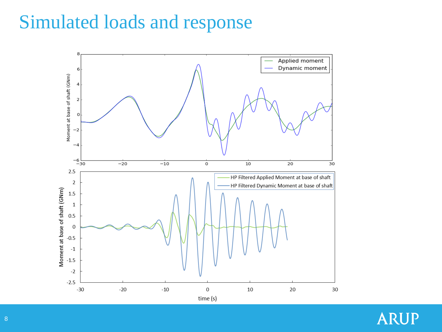#### Simulated loads and response



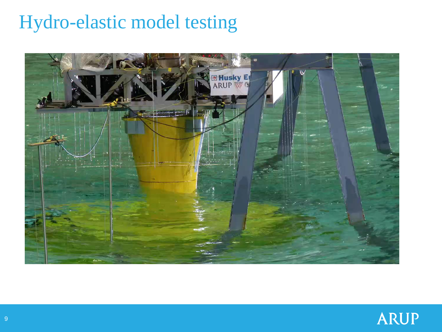### Hydro-elastic model testing



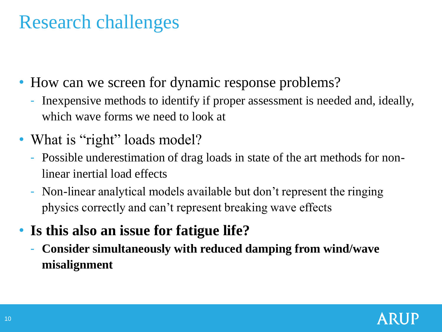### Research challenges

- How can we screen for dynamic response problems?
	- Inexpensive methods to identify if proper assessment is needed and, ideally, which wave forms we need to look at
- What is "right" loads model?
	- Possible underestimation of drag loads in state of the art methods for nonlinear inertial load effects
	- Non-linear analytical models available but don't represent the ringing physics correctly and can't represent breaking wave effects
- **Is this also an issue for fatigue life?**
	- **Consider simultaneously with reduced damping from wind/wave misalignment**

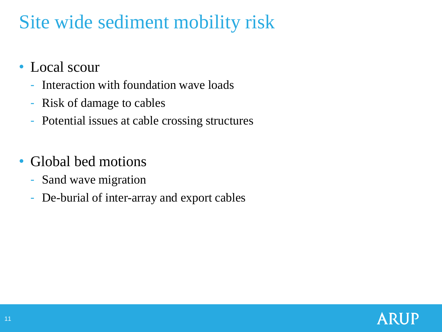## Site wide sediment mobility risk

- Local scour
	- Interaction with foundation wave loads
	- Risk of damage to cables
	- Potential issues at cable crossing structures
- Global bed motions
	- Sand wave migration
	- De-burial of inter-array and export cables

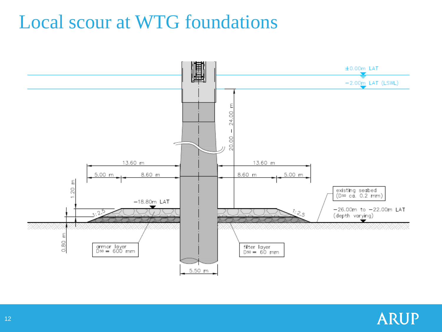#### Local scour at WTG foundations



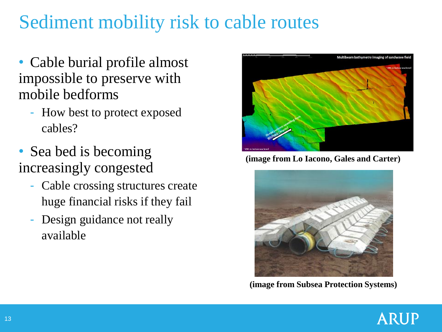## Sediment mobility risk to cable routes

- Cable burial profile almost impossible to preserve with mobile bedforms
	- How best to protect exposed cables?
- Sea bed is becoming increasingly congested
	- Cable crossing structures create huge financial risks if they fail
	- Design guidance not really available



**(image from Lo Iacono, Gales and Carter)**



**(image from Subsea Protection Systems)**

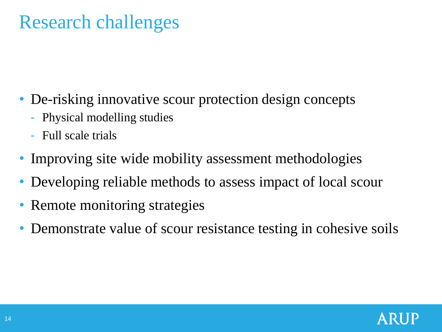#### Research challenges

- De-risking innovative scour protection design concepts
	- Physical modelling studies
	- Full scale trials
- Improving site wide mobility assessment methodologies
- Developing reliable methods to assess impact of local scour
- Remote monitoring strategies
- Demonstrate value of scour resistance testing in cohesive soils

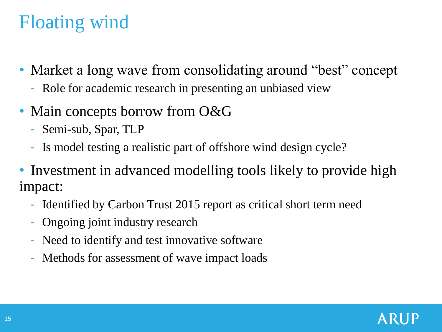## Floating wind

- Market a long wave from consolidating around "best" concept
	- Role for academic research in presenting an unbiased view
- Main concepts borrow from O&G
	- Semi-sub, Spar, TLP
	- Is model testing a realistic part of offshore wind design cycle?
- Investment in advanced modelling tools likely to provide high impact:
	- Identified by Carbon Trust 2015 report as critical short term need
	- Ongoing joint industry research
	- Need to identify and test innovative software
	- Methods for assessment of wave impact loads